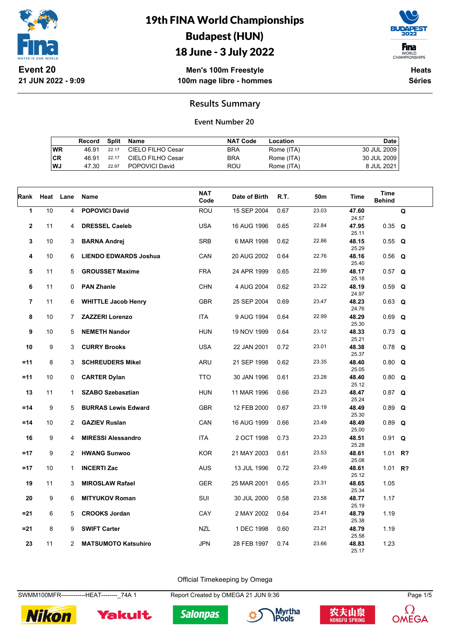



18 June - 3 July 2022

**Men's 100m Freestyle 100m nage libre - hommes**

**Heats Séries**

#### **Results Summary**

#### **Event Number 20**

|    | Record Split Name |             |                            | <b>NAT Code</b> | Location   | Date        |
|----|-------------------|-------------|----------------------------|-----------------|------------|-------------|
| WR |                   | 46.91 22.17 | CIELO FILHO Cesar          | <b>BRA</b>      | Rome (ITA) | 30 JUL 2009 |
| CR |                   | 46.91 22.17 | CIELO FILHO Cesar          | <b>BRA</b>      | Rome (ITA) | 30 JUL 2009 |
| WJ |                   |             | 47.30 22.97 POPOVICI David | ROU             | Rome (ITA) | 8 JUL 2021  |

| Rank                    | Heat | Lane           | Name                         | <b>NAT</b><br>Code | Date of Birth | R.T. | 50m   | Time           | Time<br><b>Behind</b> |   |
|-------------------------|------|----------------|------------------------------|--------------------|---------------|------|-------|----------------|-----------------------|---|
| $\mathbf 1$             | 10   | 4              | <b>POPOVICI David</b>        | ROU                | 15 SEP 2004   | 0.67 | 23.03 | 47.60<br>24.57 |                       | Q |
| $\overline{\mathbf{2}}$ | 11   | 4              | <b>DRESSEL Caeleb</b>        | <b>USA</b>         | 16 AUG 1996   | 0.65 | 22.84 | 47.95<br>25.11 | $0.35$ Q              |   |
| 3                       | 10   | 3              | <b>BARNA Andrej</b>          | <b>SRB</b>         | 6 MAR 1998    | 0.62 | 22.86 | 48.15<br>25.29 | $0.55$ Q              |   |
| 4                       | 10   | 6              | <b>LIENDO EDWARDS Joshua</b> | CAN                | 20 AUG 2002   | 0.64 | 22.76 | 48.16<br>25.40 | $0.56$ Q              |   |
| 5                       | 11   | 5              | <b>GROUSSET Maxime</b>       | <b>FRA</b>         | 24 APR 1999   | 0.65 | 22.99 | 48.17<br>25.18 | $0.57$ Q              |   |
| 6                       | 11   | 0              | <b>PAN Zhanle</b>            | CHN                | 4 AUG 2004    | 0.62 | 23.22 | 48.19<br>24.97 | $0.59$ Q              |   |
| $\overline{7}$          | 11   | 6              | <b>WHITTLE Jacob Henry</b>   | <b>GBR</b>         | 25 SEP 2004   | 0.69 | 23.47 | 48.23<br>24.76 | $0.63$ Q              |   |
| 8                       | 10   | $\overline{7}$ | <b>ZAZZERI Lorenzo</b>       | <b>ITA</b>         | 9 AUG 1994    | 0.64 | 22.99 | 48.29<br>25.30 | $0.69$ Q              |   |
| 9                       | 10   | 5              | <b>NEMETH Nandor</b>         | <b>HUN</b>         | 19 NOV 1999   | 0.64 | 23.12 | 48.33<br>25.21 | $0.73$ Q              |   |
| 10                      | 9    | 3              | <b>CURRY Brooks</b>          | <b>USA</b>         | 22 JAN 2001   | 0.72 | 23.01 | 48.38<br>25.37 | $0.78$ Q              |   |
| $=11$                   | 8    | 3              | <b>SCHREUDERS Mikel</b>      | ARU                | 21 SEP 1998   | 0.62 | 23.35 | 48.40<br>25.05 | $0.80$ Q              |   |
| $=11$                   | 10   | $\mathbf 0$    | <b>CARTER Dylan</b>          | <b>TTO</b>         | 30 JAN 1996   | 0.61 | 23.28 | 48.40<br>25.12 | $0.80$ Q              |   |
| 13                      | 11   | $\mathbf{1}$   | <b>SZABO Szebasztian</b>     | <b>HUN</b>         | 11 MAR 1996   | 0.66 | 23.23 | 48.47<br>25.24 | $0.87$ Q              |   |
| $=14$                   | 9    | 5              | <b>BURRAS Lewis Edward</b>   | <b>GBR</b>         | 12 FEB 2000   | 0.67 | 23.19 | 48.49<br>25.30 | $0.89$ Q              |   |
| $=14$                   | 10   | $\overline{2}$ | <b>GAZIEV Ruslan</b>         | CAN                | 16 AUG 1999   | 0.66 | 23.49 | 48.49<br>25.00 | $0.89$ Q              |   |
| 16                      | 9    | 4              | <b>MIRESSI Alessandro</b>    | <b>ITA</b>         | 2 OCT 1998    | 0.73 | 23.23 | 48.51<br>25.28 | $0.91$ Q              |   |
| $=17$                   | 9    | $\overline{2}$ | <b>HWANG Sunwoo</b>          | <b>KOR</b>         | 21 MAY 2003   | 0.61 | 23.53 | 48.61<br>25.08 | 1.01 $R$ ?            |   |
| $=17$                   | 10   | $\mathbf{1}$   | <b>INCERTI Zac</b>           | <b>AUS</b>         | 13 JUL 1996   | 0.72 | 23.49 | 48.61<br>25.12 | 1.01 $R$ ?            |   |
| 19                      | 11   | 3              | <b>MIROSLAW Rafael</b>       | <b>GER</b>         | 25 MAR 2001   | 0.65 | 23.31 | 48.65<br>25.34 | 1.05                  |   |
| 20                      | 9    | 6              | <b>MITYUKOV Roman</b>        | SUI                | 30 JUL 2000   | 0.58 | 23.58 | 48.77<br>25.19 | 1.17                  |   |
| $= 21$                  | 6    | 5              | <b>CROOKS Jordan</b>         | CAY                | 2 MAY 2002    | 0.64 | 23.41 | 48.79<br>25.38 | 1.19                  |   |
| $= 21$                  | 8    | 9              | <b>SWIFT Carter</b>          | <b>NZL</b>         | 1 DEC 1998    | 0.60 | 23.21 | 48.79<br>25.58 | 1.19                  |   |
| 23                      | 11   | $\mathbf{2}$   | <b>MATSUMOTO Katsuhiro</b>   | <b>JPN</b>         | 28 FEB 1997   | 0.74 | 23.66 | 48.83<br>25.17 | 1.23                  |   |

Official Timekeeping by Omega

SWMM100MFR------------HEAT--------\_74A 1 Report Created by OMEGA 21 JUN 9:36 Page 1/5







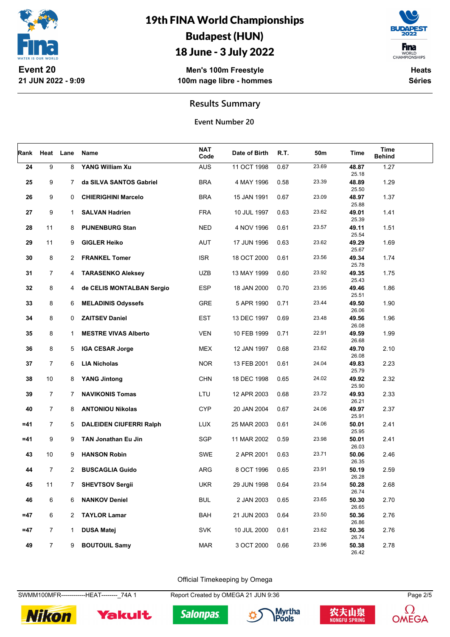

### 18 June - 3 July 2022

**Men's 100m Freestyle 100m nage libre - hommes**



**Heats Séries**

#### **Results Summary**

**Event Number 20**

| Rank   |                | Heat Lane    | Name                           | <b>NAT</b><br>Code | Date of Birth | R.T. | 50m   | Time           | Time<br><b>Behind</b> |  |
|--------|----------------|--------------|--------------------------------|--------------------|---------------|------|-------|----------------|-----------------------|--|
| 24     | 9              | 8            | YANG William Xu                | <b>AUS</b>         | 11 OCT 1998   | 0.67 | 23.69 | 48.87<br>25.18 | 1.27                  |  |
| 25     | 9              | $7^{\circ}$  | da SILVA SANTOS Gabriel        | <b>BRA</b>         | 4 MAY 1996    | 0.58 | 23.39 | 48.89<br>25.50 | 1.29                  |  |
| 26     | 9              | 0            | <b>CHIERIGHINI Marcelo</b>     | <b>BRA</b>         | 15 JAN 1991   | 0.67 | 23.09 | 48.97<br>25.88 | 1.37                  |  |
| 27     | 9              | $\mathbf{1}$ | <b>SALVAN Hadrien</b>          | <b>FRA</b>         | 10 JUL 1997   | 0.63 | 23.62 | 49.01<br>25.39 | 1.41                  |  |
| 28     | 11             | 8            | <b>PIJNENBURG Stan</b>         | <b>NED</b>         | 4 NOV 1996    | 0.61 | 23.57 | 49.11<br>25.54 | 1.51                  |  |
| 29     | 11             | 9            | <b>GIGLER Heiko</b>            | AUT                | 17 JUN 1996   | 0.63 | 23.62 | 49.29<br>25.67 | 1.69                  |  |
| 30     | 8              | 2            | <b>FRANKEL Tomer</b>           | <b>ISR</b>         | 18 OCT 2000   | 0.61 | 23.56 | 49.34<br>25.78 | 1.74                  |  |
| 31     | $\overline{7}$ | 4            | <b>TARASENKO Aleksey</b>       | <b>UZB</b>         | 13 MAY 1999   | 0.60 | 23.92 | 49.35<br>25.43 | 1.75                  |  |
| 32     | 8              | 4            | de CELIS MONTALBAN Sergio      | <b>ESP</b>         | 18 JAN 2000   | 0.70 | 23.95 | 49.46<br>25.51 | 1.86                  |  |
| 33     | 8              | 6            | <b>MELADINIS Odyssefs</b>      | GRE                | 5 APR 1990    | 0.71 | 23.44 | 49.50<br>26.06 | 1.90                  |  |
| 34     | 8              | 0            | <b>ZAITSEV Daniel</b>          | <b>EST</b>         | 13 DEC 1997   | 0.69 | 23.48 | 49.56<br>26.08 | 1.96                  |  |
| 35     | 8              | 1            | <b>MESTRE VIVAS Alberto</b>    | <b>VEN</b>         | 10 FEB 1999   | 0.71 | 22.91 | 49.59<br>26.68 | 1.99                  |  |
| 36     | 8              | 5            | <b>IGA CESAR Jorge</b>         | MEX                | 12 JAN 1997   | 0.68 | 23.62 | 49.70<br>26.08 | 2.10                  |  |
| 37     | $\overline{7}$ | 6            | <b>LIA Nicholas</b>            | <b>NOR</b>         | 13 FEB 2001   | 0.61 | 24.04 | 49.83<br>25.79 | 2.23                  |  |
| 38     | 10             | 8            | <b>YANG Jintong</b>            | <b>CHN</b>         | 18 DEC 1998   | 0.65 | 24.02 | 49.92<br>25.90 | 2.32                  |  |
| 39     | 7              | $7^{\circ}$  | <b>NAVIKONIS Tomas</b>         | LTU                | 12 APR 2003   | 0.68 | 23.72 | 49.93<br>26.21 | 2.33                  |  |
| 40     | $\overline{7}$ | 8            | <b>ANTONIOU Nikolas</b>        | <b>CYP</b>         | 20 JAN 2004   | 0.67 | 24.06 | 49.97<br>25.91 | 2.37                  |  |
| $=41$  | $\overline{7}$ | 5            | <b>DALEIDEN CIUFERRI Ralph</b> | LUX                | 25 MAR 2003   | 0.61 | 24.06 | 50.01<br>25.95 | 2.41                  |  |
| $= 41$ | 9              | 9            | TAN Jonathan Eu Jin            | SGP                | 11 MAR 2002   | 0.59 | 23.98 | 50.01<br>26.03 | 2.41                  |  |
| 43     | 10             | 9            | <b>HANSON Robin</b>            | SWE                | 2 APR 2001    | 0.63 | 23.71 | 50.06<br>26.35 | 2.46                  |  |
| 44     | $\overline{7}$ | $\mathbf{2}$ | <b>BUSCAGLIA Guido</b>         | ARG                | 8 OCT 1996    | 0.65 | 23.91 | 50.19<br>26.28 | 2.59                  |  |
| 45     | 11             | 7            | <b>SHEVTSOV Sergii</b>         | UKR                | 29 JUN 1998   | 0.64 | 23.54 | 50.28<br>26.74 | 2.68                  |  |
| 46     | 6              | 6            | <b>NANKOV Deniel</b>           | <b>BUL</b>         | 2 JAN 2003    | 0.65 | 23.65 | 50.30<br>26.65 | 2.70                  |  |
| $=47$  | 6              | 2            | <b>TAYLOR Lamar</b>            | <b>BAH</b>         | 21 JUN 2003   | 0.64 | 23.50 | 50.36<br>26.86 | 2.76                  |  |
| $=47$  | $\overline{7}$ | $\mathbf{1}$ | <b>DUSA Matej</b>              | <b>SVK</b>         | 10 JUL 2000   | 0.61 | 23.62 | 50.36<br>26.74 | 2.76                  |  |
| 49     | $\overline{7}$ | 9            | <b>BOUTOUIL Samy</b>           | <b>MAR</b>         | 3 OCT 2000    | 0.66 | 23.96 | 50.38<br>26.42 | 2.78                  |  |

Official Timekeeping by Omega

SWMM100MFR------------HEAT--------\_74A 1 Report Created by OMEGA 21 JUN 9:36 Page 2/5









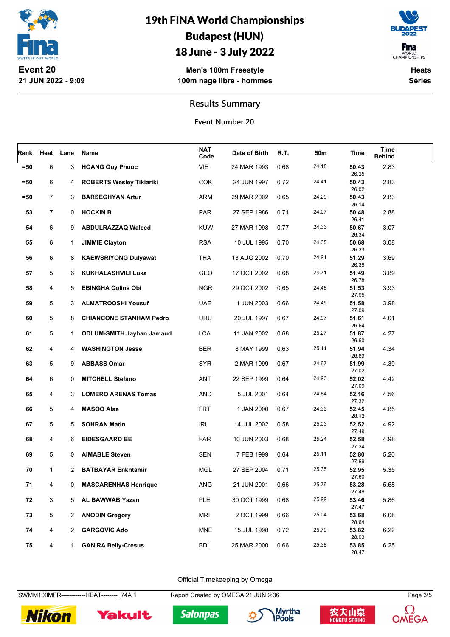

### 18 June - 3 July 2022

**Men's 100m Freestyle 100m nage libre - hommes**



**Heats Séries**

#### **Results Summary**

**Event Number 20**

| Rank   |                | Heat Lane    | Name                             | NAT<br>Code | Date of Birth | R.T. | 50m   | Time           | Time<br><b>Behind</b> |  |
|--------|----------------|--------------|----------------------------------|-------------|---------------|------|-------|----------------|-----------------------|--|
| $=50$  | 6              | 3            | <b>HOANG Quy Phuoc</b>           | VIE         | 24 MAR 1993   | 0.68 | 24.18 | 50.43<br>26.25 | 2.83                  |  |
| $=50$  | 6              | 4            | <b>ROBERTS Wesley Tikiariki</b>  | <b>COK</b>  | 24 JUN 1997   | 0.72 | 24.41 | 50.43<br>26.02 | 2.83                  |  |
| $= 50$ | $\overline{7}$ | 3            | <b>BARSEGHYAN Artur</b>          | ARM         | 29 MAR 2002   | 0.65 | 24.29 | 50.43<br>26.14 | 2.83                  |  |
| 53     | 7              | 0            | <b>HOCKIN B</b>                  | <b>PAR</b>  | 27 SEP 1986   | 0.71 | 24.07 | 50.48<br>26.41 | 2.88                  |  |
| 54     | 6              | 9            | <b>ABDULRAZZAQ Waleed</b>        | <b>KUW</b>  | 27 MAR 1998   | 0.77 | 24.33 | 50.67<br>26.34 | 3.07                  |  |
| 55     | 6              | $\mathbf{1}$ | <b>JIMMIE Clayton</b>            | <b>RSA</b>  | 10 JUL 1995   | 0.70 | 24.35 | 50.68<br>26.33 | 3.08                  |  |
| 56     | 6              | 8            | <b>KAEWSRIYONG Dulyawat</b>      | <b>THA</b>  | 13 AUG 2002   | 0.70 | 24.91 | 51.29<br>26.38 | 3.69                  |  |
| 57     | 5              | 6            | <b>KUKHALASHVILI Luka</b>        | GEO         | 17 OCT 2002   | 0.68 | 24.71 | 51.49<br>26.78 | 3.89                  |  |
| 58     | 4              | 5            | <b>EBINGHA Colins Obi</b>        | <b>NGR</b>  | 29 OCT 2002   | 0.65 | 24.48 | 51.53<br>27.05 | 3.93                  |  |
| 59     | 5              | 3            | <b>ALMATROOSHI Yousuf</b>        | <b>UAE</b>  | 1 JUN 2003    | 0.66 | 24.49 | 51.58<br>27.09 | 3.98                  |  |
| 60     | 5              | 8            | <b>CHIANCONE STANHAM Pedro</b>   | URU         | 20 JUL 1997   | 0.67 | 24.97 | 51.61<br>26.64 | 4.01                  |  |
| 61     | 5              | $\mathbf{1}$ | <b>ODLUM-SMITH Jayhan Jamaud</b> | <b>LCA</b>  | 11 JAN 2002   | 0.68 | 25.27 | 51.87<br>26.60 | 4.27                  |  |
| 62     | 4              | 4            | <b>WASHINGTON Jesse</b>          | <b>BER</b>  | 8 MAY 1999    | 0.63 | 25.11 | 51.94<br>26.83 | 4.34                  |  |
| 63     | 5              | 9            | <b>ABBASS Omar</b>               | <b>SYR</b>  | 2 MAR 1999    | 0.67 | 24.97 | 51.99<br>27.02 | 4.39                  |  |
| 64     | 6              | 0            | <b>MITCHELL Stefano</b>          | ANT         | 22 SEP 1999   | 0.64 | 24.93 | 52.02<br>27.09 | 4.42                  |  |
| 65     | 4              | 3            | <b>LOMERO ARENAS Tomas</b>       | AND         | 5 JUL 2001    | 0.64 | 24.84 | 52.16<br>27.32 | 4.56                  |  |
| 66     | 5              | 4            | <b>MASOO Alaa</b>                | <b>FRT</b>  | 1 JAN 2000    | 0.67 | 24.33 | 52.45<br>28.12 | 4.85                  |  |
| 67     | 5              | 5            | <b>SOHRAN Matin</b>              | <b>IRI</b>  | 14 JUL 2002   | 0.58 | 25.03 | 52.52<br>27.49 | 4.92                  |  |
| 68     | 4              | 6            | <b>EIDESGAARD BE</b>             | <b>FAR</b>  | 10 JUN 2003   | 0.68 | 25.24 | 52.58<br>27.34 | 4.98                  |  |
| 69     | 5              | 0            | <b>AIMABLE Steven</b>            | <b>SEN</b>  | 7 FEB 1999    | 0.64 | 25.11 | 52.80<br>27.69 | 5.20                  |  |
| 70     | $\mathbf{1}$   | $\mathbf{2}$ | <b>BATBAYAR Enkhtamir</b>        | <b>MGL</b>  | 27 SEP 2004   | 0.71 | 25.35 | 52.95<br>27.60 | 5.35                  |  |
| 71     | 4              | 0            | <b>MASCARENHAS Henrique</b>      | ANG         | 21 JUN 2001   | 0.66 | 25.79 | 53.28<br>27.49 | 5.68                  |  |
| 72     | 3              | 5            | AL BAWWAB Yazan                  | PLE         | 30 OCT 1999   | 0.68 | 25.99 | 53.46<br>27.47 | 5.86                  |  |
| 73     | 5              | $\mathbf{2}$ | <b>ANODIN Gregory</b>            | <b>MRI</b>  | 2 OCT 1999    | 0.66 | 25.04 | 53.68<br>28.64 | 6.08                  |  |
| 74     | 4              | $\mathbf{2}$ | <b>GARGOVIC Ado</b>              | <b>MNE</b>  | 15 JUL 1998   | 0.72 | 25.79 | 53.82<br>28.03 | 6.22                  |  |
| 75     | 4              | $\mathbf{1}$ | <b>GANIRA Belly-Cresus</b>       | <b>BDI</b>  | 25 MAR 2000   | 0.66 | 25.38 | 53.85<br>28.47 | 6.25                  |  |

Official Timekeeping by Omega

SWMM100MFR------------HEAT--------\_74A 1 Report Created by OMEGA 21 JUN 9:36 Page 3/5









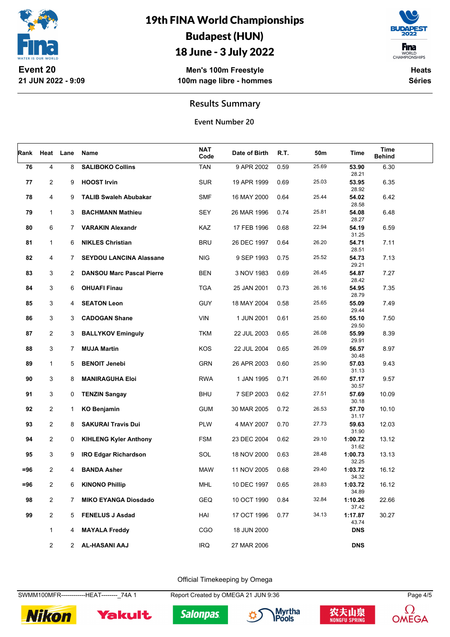

### 18 June - 3 July 2022

**Men's 100m Freestyle 100m nage libre - hommes**



**Heats Séries**

#### **Results Summary**

**Event Number 20**

| Rank   | Heat           | Lane         | Name                             | NAT<br>Code | Date of Birth | R.T. | 50m   | Time             | Time<br><b>Behind</b> |  |
|--------|----------------|--------------|----------------------------------|-------------|---------------|------|-------|------------------|-----------------------|--|
| 76     | 4              | 8            | <b>SALIBOKO Collins</b>          | <b>TAN</b>  | 9 APR 2002    | 0.59 | 25.69 | 53.90<br>28.21   | 6.30                  |  |
| 77     | $\overline{c}$ | 9            | <b>HOOST Irvin</b>               | <b>SUR</b>  | 19 APR 1999   | 0.69 | 25.03 | 53.95<br>28.92   | 6.35                  |  |
| 78     | 4              | 9            | <b>TALIB Swaleh Abubakar</b>     | <b>SMF</b>  | 16 MAY 2000   | 0.64 | 25.44 | 54.02<br>28.58   | 6.42                  |  |
| 79     | 1              | 3            | <b>BACHMANN Mathieu</b>          | <b>SEY</b>  | 26 MAR 1996   | 0.74 | 25.81 | 54.08<br>28.27   | 6.48                  |  |
| 80     | 6              | 7            | <b>VARAKIN Alexandr</b>          | <b>KAZ</b>  | 17 FEB 1996   | 0.68 | 22.94 | 54.19<br>31.25   | 6.59                  |  |
| 81     | 1              | 6            | <b>NIKLES Christian</b>          | <b>BRU</b>  | 26 DEC 1997   | 0.64 | 26.20 | 54.71<br>28.51   | 7.11                  |  |
| 82     | 4              | $7^{\circ}$  | <b>SEYDOU LANCINA Alassane</b>   | <b>NIG</b>  | 9 SEP 1993    | 0.75 | 25.52 | 54.73<br>29.21   | 7.13                  |  |
| 83     | 3              | $\mathbf{2}$ | <b>DANSOU Marc Pascal Pierre</b> | <b>BEN</b>  | 3 NOV 1983    | 0.69 | 26.45 | 54.87<br>28.42   | 7.27                  |  |
| 84     | 3              | 6            | <b>OHUAFI Finau</b>              | <b>TGA</b>  | 25 JAN 2001   | 0.73 | 26.16 | 54.95<br>28.79   | 7.35                  |  |
| 85     | 3              | 4            | <b>SEATON Leon</b>               | <b>GUY</b>  | 18 MAY 2004   | 0.58 | 25.65 | 55.09<br>29.44   | 7.49                  |  |
| 86     | 3              | 3            | <b>CADOGAN Shane</b>             | <b>VIN</b>  | 1 JUN 2001    | 0.61 | 25.60 | 55.10<br>29.50   | 7.50                  |  |
| 87     | $\overline{2}$ | 3            | <b>BALLYKOV Eminguly</b>         | <b>TKM</b>  | 22 JUL 2003   | 0.65 | 26.08 | 55.99<br>29.91   | 8.39                  |  |
| 88     | 3              | $7^{\circ}$  | <b>MUJA Martin</b>               | KOS         | 22 JUL 2004   | 0.65 | 26.09 | 56.57<br>30.48   | 8.97                  |  |
| 89     | $\mathbf{1}$   | 5            | <b>BENOIT Jenebi</b>             | <b>GRN</b>  | 26 APR 2003   | 0.60 | 25.90 | 57.03<br>31.13   | 9.43                  |  |
| 90     | 3              | 8            | <b>MANIRAGUHA Eloi</b>           | <b>RWA</b>  | 1 JAN 1995    | 0.71 | 26.60 | 57.17<br>30.57   | 9.57                  |  |
| 91     | 3              | 0            | <b>TENZIN Sangay</b>             | <b>BHU</b>  | 7 SEP 2003    | 0.62 | 27.51 | 57.69<br>30.18   | 10.09                 |  |
| 92     | $\overline{2}$ | 1            | <b>KO Benjamin</b>               | <b>GUM</b>  | 30 MAR 2005   | 0.72 | 26.53 | 57.70<br>31.17   | 10.10                 |  |
| 93     | $\overline{2}$ | 8            | <b>SAKURAI Travis Dui</b>        | PLW         | 4 MAY 2007    | 0.70 | 27.73 | 59.63<br>31.90   | 12.03                 |  |
| 94     | $\overline{2}$ | 0            | <b>KIHLENG Kyler Anthony</b>     | <b>FSM</b>  | 23 DEC 2004   | 0.62 | 29.10 | 1:00.72<br>31.62 | 13.12                 |  |
| 95     | 3              | 9            | <b>IRO Edgar Richardson</b>      | SOL         | 18 NOV 2000   | 0.63 | 28.48 | 1:00.73<br>32.25 | 13.13                 |  |
| =96    | 2              | 4            | <b>BANDA Asher</b>               | <b>MAW</b>  | 11 NOV 2005   | 0.68 | 29.40 | 1:03.72<br>34.32 | 16.12                 |  |
| $= 96$ | 2              | 6            | <b>KINONO Phillip</b>            | <b>MHL</b>  | 10 DEC 1997   | 0.65 | 28.83 | 1:03.72<br>34.89 | 16.12                 |  |
| 98     | $\overline{2}$ | $7^{\circ}$  | <b>MIKO EYANGA Diosdado</b>      | <b>GEQ</b>  | 10 OCT 1990   | 0.84 | 32.84 | 1:10.26<br>37.42 | 22.66                 |  |
| 99     | $\overline{2}$ | 5            | <b>FENELUS J Asdad</b>           | HAI         | 17 OCT 1996   | 0.77 | 34.13 | 1:17.87<br>43.74 | 30.27                 |  |
|        | $\mathbf{1}$   | 4            | <b>MAYALA Freddy</b>             | CGO         | 18 JUN 2000   |      |       | <b>DNS</b>       |                       |  |
|        | $\overline{2}$ |              | 2 AL-HASANI AAJ                  | <b>IRQ</b>  | 27 MAR 2006   |      |       | <b>DNS</b>       |                       |  |

Official Timekeeping by Omega

SWMM100MFR------------HEAT--------\_74A 1 Report Created by OMEGA 21 JUN 9:36 Page 4/5